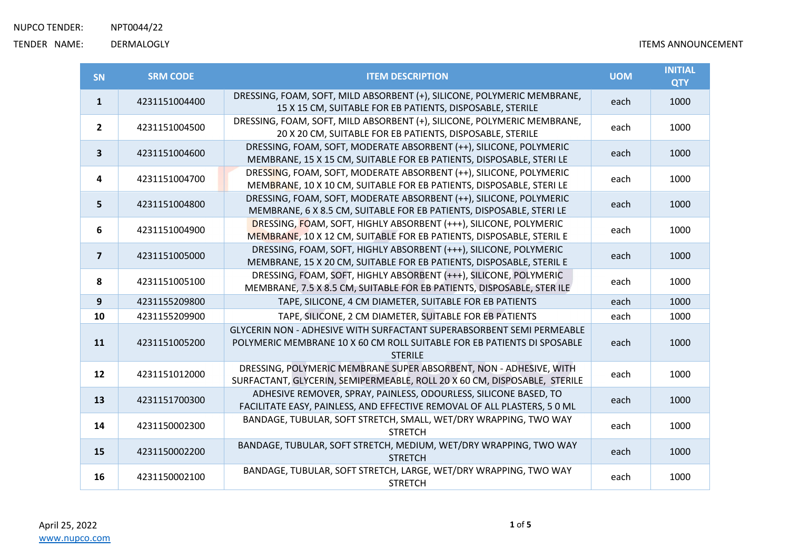| <b>SN</b>      | <b>SRM CODE</b> | <b>ITEM DESCRIPTION</b>                                                                                                                                            | <b>UOM</b> | <b>INITIAL</b><br><b>QTY</b> |
|----------------|-----------------|--------------------------------------------------------------------------------------------------------------------------------------------------------------------|------------|------------------------------|
| $\mathbf{1}$   | 4231151004400   | DRESSING, FOAM, SOFT, MILD ABSORBENT (+), SILICONE, POLYMERIC MEMBRANE,<br>15 X 15 CM, SUITABLE FOR EB PATIENTS, DISPOSABLE, STERILE                               | each       | 1000                         |
| $\overline{2}$ | 4231151004500   | DRESSING, FOAM, SOFT, MILD ABSORBENT (+), SILICONE, POLYMERIC MEMBRANE,<br>20 X 20 CM, SUITABLE FOR EB PATIENTS, DISPOSABLE, STERILE                               | each       | 1000                         |
| $\mathbf{3}$   | 4231151004600   | DRESSING, FOAM, SOFT, MODERATE ABSORBENT (++), SILICONE, POLYMERIC<br>MEMBRANE, 15 X 15 CM, SUITABLE FOR EB PATIENTS, DISPOSABLE, STERI LE                         | each       | 1000                         |
| 4              | 4231151004700   | DRESSING, FOAM, SOFT, MODERATE ABSORBENT (++), SILICONE, POLYMERIC<br>MEMBRANE, 10 X 10 CM, SUITABLE FOR EB PATIENTS, DISPOSABLE, STERI LE                         | each       | 1000                         |
| 5              | 4231151004800   | DRESSING, FOAM, SOFT, MODERATE ABSORBENT (++), SILICONE, POLYMERIC<br>MEMBRANE, 6 X 8.5 CM, SUITABLE FOR EB PATIENTS, DISPOSABLE, STERI LE                         | each       | 1000                         |
| 6              | 4231151004900   | DRESSING, FOAM, SOFT, HIGHLY ABSORBENT (+++), SILICONE, POLYMERIC<br>MEMBRANE, 10 X 12 CM, SUITABLE FOR EB PATIENTS, DISPOSABLE, STERIL E                          | each       | 1000                         |
| $\overline{7}$ | 4231151005000   | DRESSING, FOAM, SOFT, HIGHLY ABSORBENT (+++), SILICONE, POLYMERIC<br>MEMBRANE, 15 X 20 CM, SUITABLE FOR EB PATIENTS, DISPOSABLE, STERIL E                          | each       | 1000                         |
| 8              | 4231151005100   | DRESSING, FOAM, SOFT, HIGHLY ABSORBENT (+++), SILICONE, POLYMERIC<br>MEMBRANE, 7.5 X 8.5 CM, SUITABLE FOR EB PATIENTS, DISPOSABLE, STER ILE                        | each       | 1000                         |
| 9              | 4231155209800   | TAPE, SILICONE, 4 CM DIAMETER, SUITABLE FOR EB PATIENTS                                                                                                            | each       | 1000                         |
| 10             | 4231155209900   | TAPE, SILICONE, 2 CM DIAMETER, SUITABLE FOR EB PATIENTS                                                                                                            | each       | 1000                         |
| 11             | 4231151005200   | GLYCERIN NON - ADHESIVE WITH SURFACTANT SUPERABSORBENT SEMI PERMEABLE<br>POLYMERIC MEMBRANE 10 X 60 CM ROLL SUITABLE FOR EB PATIENTS DI SPOSABLE<br><b>STERILE</b> | each       | 1000                         |
| 12             | 4231151012000   | DRESSING, POLYMERIC MEMBRANE SUPER ABSORBENT, NON - ADHESIVE, WITH<br>SURFACTANT, GLYCERIN, SEMIPERMEABLE, ROLL 20 X 60 CM, DISPOSABLE, STERILE                    | each       | 1000                         |
| 13             | 4231151700300   | ADHESIVE REMOVER, SPRAY, PAINLESS, ODOURLESS, SILICONE BASED, TO<br>FACILITATE EASY, PAINLESS, AND EFFECTIVE REMOVAL OF ALL PLASTERS, 5 0 ML                       | each       | 1000                         |
| 14             | 4231150002300   | BANDAGE, TUBULAR, SOFT STRETCH, SMALL, WET/DRY WRAPPING, TWO WAY<br><b>STRETCH</b>                                                                                 | each       | 1000                         |
| 15             | 4231150002200   | BANDAGE, TUBULAR, SOFT STRETCH, MEDIUM, WET/DRY WRAPPING, TWO WAY<br><b>STRETCH</b>                                                                                | each       | 1000                         |
| 16             | 4231150002100   | BANDAGE, TUBULAR, SOFT STRETCH, LARGE, WET/DRY WRAPPING, TWO WAY<br><b>STRETCH</b>                                                                                 | each       | 1000                         |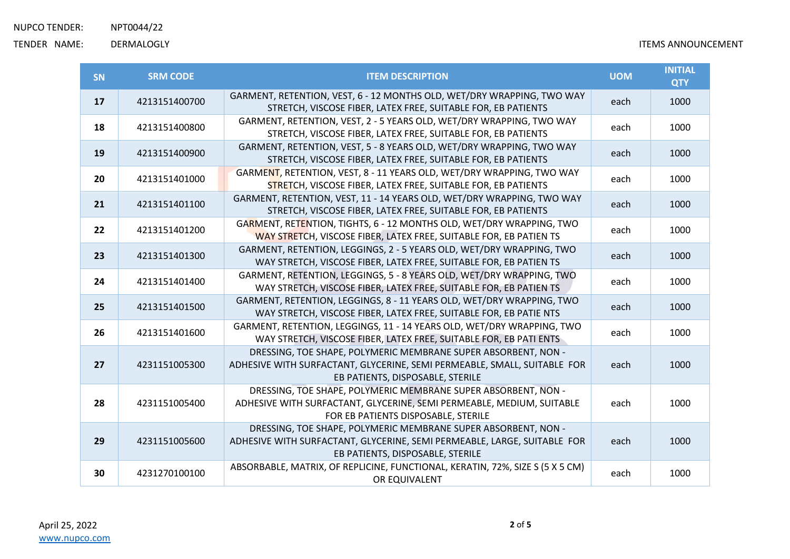| <b>SN</b> | <b>SRM CODE</b> | <b>ITEM DESCRIPTION</b>                                                                                                                                                        | <b>UOM</b> | <b>INITIAL</b><br><b>QTY</b> |
|-----------|-----------------|--------------------------------------------------------------------------------------------------------------------------------------------------------------------------------|------------|------------------------------|
| 17        | 4213151400700   | GARMENT, RETENTION, VEST, 6 - 12 MONTHS OLD, WET/DRY WRAPPING, TWO WAY<br>STRETCH, VISCOSE FIBER, LATEX FREE, SUITABLE FOR, EB PATIENTS                                        | each       | 1000                         |
| 18        | 4213151400800   | GARMENT, RETENTION, VEST, 2 - 5 YEARS OLD, WET/DRY WRAPPING, TWO WAY<br>STRETCH, VISCOSE FIBER, LATEX FREE, SUITABLE FOR, EB PATIENTS                                          | each       | 1000                         |
| 19        | 4213151400900   | GARMENT, RETENTION, VEST, 5 - 8 YEARS OLD, WET/DRY WRAPPING, TWO WAY<br>STRETCH, VISCOSE FIBER, LATEX FREE, SUITABLE FOR, EB PATIENTS                                          | each       | 1000                         |
| 20        | 4213151401000   | GARMENT, RETENTION, VEST, 8 - 11 YEARS OLD, WET/DRY WRAPPING, TWO WAY<br>STRETCH, VISCOSE FIBER, LATEX FREE, SUITABLE FOR, EB PATIENTS                                         | each       | 1000                         |
| 21        | 4213151401100   | GARMENT, RETENTION, VEST, 11 - 14 YEARS OLD, WET/DRY WRAPPING, TWO WAY<br>STRETCH, VISCOSE FIBER, LATEX FREE, SUITABLE FOR, EB PATIENTS                                        | each       | 1000                         |
| 22        | 4213151401200   | GARMENT, RETENTION, TIGHTS, 6 - 12 MONTHS OLD, WET/DRY WRAPPING, TWO<br>WAY STRETCH, VISCOSE FIBER, LATEX FREE, SUITABLE FOR, EB PATIEN TS                                     | each       | 1000                         |
| 23        | 4213151401300   | GARMENT, RETENTION, LEGGINGS, 2 - 5 YEARS OLD, WET/DRY WRAPPING, TWO<br>WAY STRETCH, VISCOSE FIBER, LATEX FREE, SUITABLE FOR, EB PATIEN TS                                     | each       | 1000                         |
| 24        | 4213151401400   | GARMENT, RETENTION, LEGGINGS, 5 - 8 YEARS OLD, WET/DRY WRAPPING, TWO<br>WAY STRETCH, VISCOSE FIBER, LATEX FREE, SUITABLE FOR, EB PATIEN TS                                     | each       | 1000                         |
| 25        | 4213151401500   | GARMENT, RETENTION, LEGGINGS, 8 - 11 YEARS OLD, WET/DRY WRAPPING, TWO<br>WAY STRETCH, VISCOSE FIBER, LATEX FREE, SUITABLE FOR, EB PATIE NTS                                    | each       | 1000                         |
| 26        | 4213151401600   | GARMENT, RETENTION, LEGGINGS, 11 - 14 YEARS OLD, WET/DRY WRAPPING, TWO<br>WAY STRETCH, VISCOSE FIBER, LATEX FREE, SUITABLE FOR, EB PATI ENTS                                   | each       | 1000                         |
| 27        | 4231151005300   | DRESSING, TOE SHAPE, POLYMERIC MEMBRANE SUPER ABSORBENT, NON -<br>ADHESIVE WITH SURFACTANT, GLYCERINE, SEMI PERMEABLE, SMALL, SUITABLE FOR<br>EB PATIENTS, DISPOSABLE, STERILE | each       | 1000                         |
| 28        | 4231151005400   | DRESSING, TOE SHAPE, POLYMERIC MEMBRANE SUPER ABSORBENT, NON -<br>ADHESIVE WITH SURFACTANT, GLYCERINE, SEMI PERMEABLE, MEDIUM, SUITABLE<br>FOR EB PATIENTS DISPOSABLE, STERILE | each       | 1000                         |
| 29        | 4231151005600   | DRESSING, TOE SHAPE, POLYMERIC MEMBRANE SUPER ABSORBENT, NON -<br>ADHESIVE WITH SURFACTANT, GLYCERINE, SEMI PERMEABLE, LARGE, SUITABLE FOR<br>EB PATIENTS, DISPOSABLE, STERILE | each       | 1000                         |
| 30        | 4231270100100   | ABSORBABLE, MATRIX, OF REPLICINE, FUNCTIONAL, KERATIN, 72%, SIZE S (5 X 5 CM)<br>OR EQUIVALENT                                                                                 | each       | 1000                         |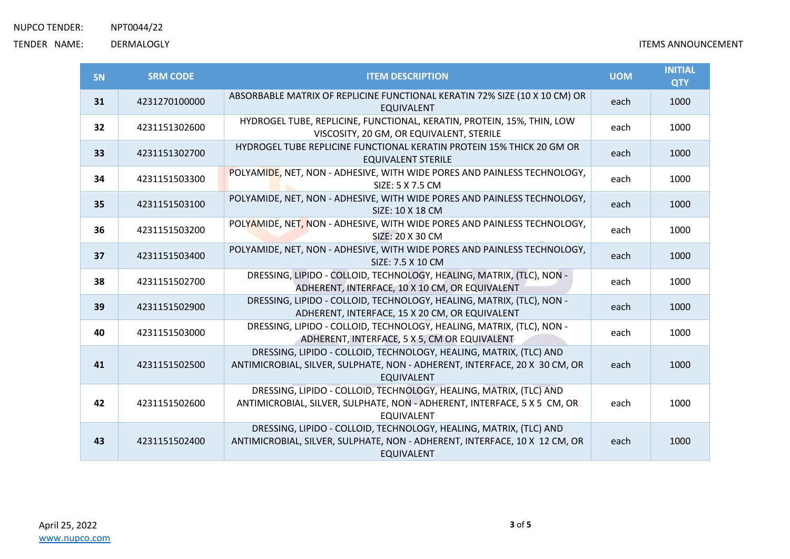| SN | <b>SRM CODE</b> | <b>ITEM DESCRIPTION</b>                                                                                                                                               | <b>UOM</b> | <b>INITIAL</b><br><b>QTY</b> |
|----|-----------------|-----------------------------------------------------------------------------------------------------------------------------------------------------------------------|------------|------------------------------|
| 31 | 4231270100000   | ABSORBABLE MATRIX OF REPLICINE FUNCTIONAL KERATIN 72% SIZE (10 X 10 CM) OR<br><b>EQUIVALENT</b>                                                                       | each       | 1000                         |
| 32 | 4231151302600   | HYDROGEL TUBE, REPLICINE, FUNCTIONAL, KERATIN, PROTEIN, 15%, THIN, LOW<br>VISCOSITY, 20 GM, OR EQUIVALENT, STERILE                                                    | each       | 1000                         |
| 33 | 4231151302700   | HYDROGEL TUBE REPLICINE FUNCTIONAL KERATIN PROTEIN 15% THICK 20 GM OR<br>EQUIVALENT STERILE                                                                           | each       | 1000                         |
| 34 | 4231151503300   | POLYAMIDE, NET, NON - ADHESIVE, WITH WIDE PORES AND PAINLESS TECHNOLOGY,<br>SIZE: 5 X 7.5 CM                                                                          | each       | 1000                         |
| 35 | 4231151503100   | POLYAMIDE, NET, NON - ADHESIVE, WITH WIDE PORES AND PAINLESS TECHNOLOGY,<br>SIZE: 10 X 18 CM                                                                          | each       | 1000                         |
| 36 | 4231151503200   | POLYAMIDE, NET, NON - ADHESIVE, WITH WIDE PORES AND PAINLESS TECHNOLOGY,<br>SIZE: 20 X 30 CM                                                                          | each       | 1000                         |
| 37 | 4231151503400   | POLYAMIDE, NET, NON - ADHESIVE, WITH WIDE PORES AND PAINLESS TECHNOLOGY,<br>SIZE: 7.5 X 10 CM                                                                         | each       | 1000                         |
| 38 | 4231151502700   | DRESSING, LIPIDO - COLLOID, TECHNOLOGY, HEALING, MATRIX, (TLC), NON -<br>ADHERENT, INTERFACE, 10 X 10 CM, OR EQUIVALENT                                               | each       | 1000                         |
| 39 | 4231151502900   | DRESSING, LIPIDO - COLLOID, TECHNOLOGY, HEALING, MATRIX, (TLC), NON -<br>ADHERENT, INTERFACE, 15 X 20 CM, OR EQUIVALENT                                               | each       | 1000                         |
| 40 | 4231151503000   | DRESSING, LIPIDO - COLLOID, TECHNOLOGY, HEALING, MATRIX, (TLC), NON -<br>ADHERENT, INTERFACE, 5 X 5, CM OR EQUIVALENT                                                 | each       | 1000                         |
| 41 | 4231151502500   | DRESSING, LIPIDO - COLLOID, TECHNOLOGY, HEALING, MATRIX, (TLC) AND<br>ANTIMICROBIAL, SILVER, SULPHATE, NON - ADHERENT, INTERFACE, 20 X 30 CM, OR<br><b>EQUIVALENT</b> | each       | 1000                         |
| 42 | 4231151502600   | DRESSING, LIPIDO - COLLOID, TECHNOLOGY, HEALING, MATRIX, (TLC) AND<br>ANTIMICROBIAL, SILVER, SULPHATE, NON - ADHERENT, INTERFACE, 5 X 5 CM, OR<br><b>EQUIVALENT</b>   | each       | 1000                         |
| 43 | 4231151502400   | DRESSING, LIPIDO - COLLOID, TECHNOLOGY, HEALING, MATRIX, (TLC) AND<br>ANTIMICROBIAL, SILVER, SULPHATE, NON - ADHERENT, INTERFACE, 10 X 12 CM, OR<br><b>EQUIVALENT</b> | each       | 1000                         |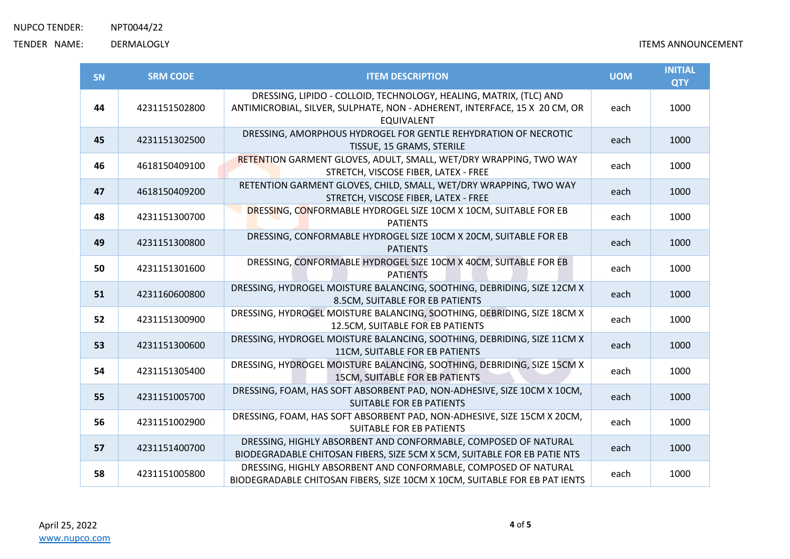| <b>SN</b> | <b>SRM CODE</b> | <b>ITEM DESCRIPTION</b>                                                                                                                                               | <b>UOM</b> | <b>INITIAL</b><br><b>QTY</b> |
|-----------|-----------------|-----------------------------------------------------------------------------------------------------------------------------------------------------------------------|------------|------------------------------|
| 44        | 4231151502800   | DRESSING, LIPIDO - COLLOID, TECHNOLOGY, HEALING, MATRIX, (TLC) AND<br>ANTIMICROBIAL, SILVER, SULPHATE, NON - ADHERENT, INTERFACE, 15 X 20 CM, OR<br><b>EQUIVALENT</b> | each       | 1000                         |
| 45        | 4231151302500   | DRESSING, AMORPHOUS HYDROGEL FOR GENTLE REHYDRATION OF NECROTIC<br>TISSUE, 15 GRAMS, STERILE                                                                          | each       | 1000                         |
| 46        | 4618150409100   | RETENTION GARMENT GLOVES, ADULT, SMALL, WET/DRY WRAPPING, TWO WAY<br>STRETCH, VISCOSE FIBER, LATEX - FREE                                                             | each       | 1000                         |
| 47        | 4618150409200   | RETENTION GARMENT GLOVES, CHILD, SMALL, WET/DRY WRAPPING, TWO WAY<br>STRETCH, VISCOSE FIBER, LATEX - FREE                                                             | each       | 1000                         |
| 48        | 4231151300700   | DRESSING, CONFORMABLE HYDROGEL SIZE 10CM X 10CM, SUITABLE FOR EB<br><b>PATIENTS</b>                                                                                   | each       | 1000                         |
| 49        | 4231151300800   | DRESSING, CONFORMABLE HYDROGEL SIZE 10CM X 20CM, SUITABLE FOR EB<br><b>PATIENTS</b>                                                                                   | each       | 1000                         |
| 50        | 4231151301600   | DRESSING, CONFORMABLE HYDROGEL SIZE 10CM X 40CM, SUITABLE FOR EB<br><b>PATIENTS</b>                                                                                   | each       | 1000                         |
| 51        | 4231160600800   | DRESSING, HYDROGEL MOISTURE BALANCING, SOOTHING, DEBRIDING, SIZE 12CM X<br>8.5CM, SUITABLE FOR EB PATIENTS                                                            | each       | 1000                         |
| 52        | 4231151300900   | DRESSING, HYDROGEL MOISTURE BALANCING, SOOTHING, DEBRIDING, SIZE 18CM X<br>12.5CM, SUITABLE FOR EB PATIENTS                                                           | each       | 1000                         |
| 53        | 4231151300600   | DRESSING, HYDROGEL MOISTURE BALANCING, SOOTHING, DEBRIDING, SIZE 11CM X<br>11CM, SUITABLE FOR EB PATIENTS                                                             | each       | 1000                         |
| 54        | 4231151305400   | DRESSING, HYDROGEL MOISTURE BALANCING, SOOTHING, DEBRIDING, SIZE 15CM X<br><b>15CM, SUITABLE FOR EB PATIENTS</b>                                                      | each       | 1000                         |
| 55        | 4231151005700   | DRESSING, FOAM, HAS SOFT ABSORBENT PAD, NON-ADHESIVE, SIZE 10CM X 10CM,<br><b>SUITABLE FOR EB PATIENTS</b>                                                            | each       | 1000                         |
| 56        | 4231151002900   | DRESSING, FOAM, HAS SOFT ABSORBENT PAD, NON-ADHESIVE, SIZE 15CM X 20CM,<br><b>SUITABLE FOR EB PATIENTS</b>                                                            | each       | 1000                         |
| 57        | 4231151400700   | DRESSING, HIGHLY ABSORBENT AND CONFORMABLE, COMPOSED OF NATURAL<br>BIODEGRADABLE CHITOSAN FIBERS, SIZE 5CM X 5CM, SUITABLE FOR EB PATIE NTS                           | each       | 1000                         |
| 58        | 4231151005800   | DRESSING, HIGHLY ABSORBENT AND CONFORMABLE, COMPOSED OF NATURAL<br>BIODEGRADABLE CHITOSAN FIBERS, SIZE 10CM X 10CM, SUITABLE FOR EB PAT IENTS                         | each       | 1000                         |